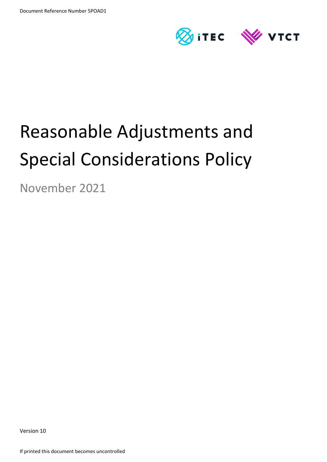

# Reasonable Adjustments and Special Considerations Policy

November 2021

Version 10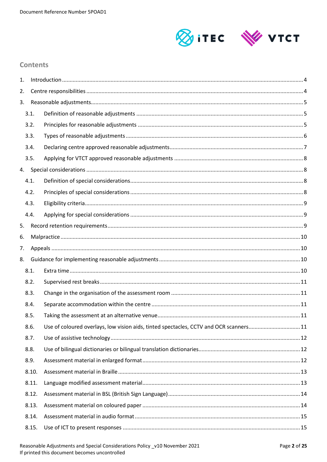

## **Contents**

| 1. |       |                                                                                       |  |
|----|-------|---------------------------------------------------------------------------------------|--|
| 2. |       |                                                                                       |  |
| 3. |       |                                                                                       |  |
|    | 3.1.  |                                                                                       |  |
|    | 3.2.  |                                                                                       |  |
|    | 3.3.  |                                                                                       |  |
|    | 3.4.  |                                                                                       |  |
|    | 3.5.  |                                                                                       |  |
|    |       |                                                                                       |  |
|    | 4.1.  |                                                                                       |  |
|    | 4.2.  |                                                                                       |  |
|    | 4.3.  |                                                                                       |  |
|    | 4.4.  |                                                                                       |  |
| 5. |       |                                                                                       |  |
| 6. |       |                                                                                       |  |
| 7. |       |                                                                                       |  |
| 8. |       |                                                                                       |  |
|    | 8.1.  |                                                                                       |  |
|    | 8.2.  |                                                                                       |  |
|    | 8.3.  |                                                                                       |  |
|    | 8.4.  |                                                                                       |  |
|    | 8.5.  |                                                                                       |  |
|    | 8.6.  | Use of coloured overlays, low vision aids, tinted spectacles, CCTV and OCR scanners11 |  |
|    | 8.7.  |                                                                                       |  |
|    | 8.8.  |                                                                                       |  |
|    | 8.9.  |                                                                                       |  |
|    | 8.10. |                                                                                       |  |
|    | 8.11. |                                                                                       |  |
|    | 8.12. |                                                                                       |  |
|    | 8.13. |                                                                                       |  |
|    | 8.14. |                                                                                       |  |
|    | 8.15. |                                                                                       |  |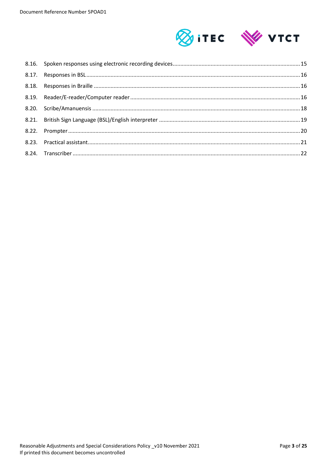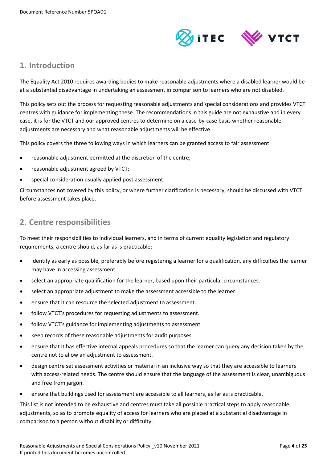

## <span id="page-3-0"></span>**1. Introduction**

The Equality Act 2010 requires awarding bodies to make reasonable adjustments where a disabled learner would be at a substantial disadvantage in undertaking an assessment in comparison to learners who are not disabled.

This policy sets out the process for requesting reasonable adjustments and special considerations and provides VTCT centres with guidance for implementing these. The recommendations in this guide are not exhaustive and in every case, it is for the VTCT and our approved centres to determine on a case-by-case basis whether reasonable adjustments are necessary and what reasonable adjustments will be effective.

This policy covers the three following ways in which learners can be granted access to fair assessment:

- reasonable adjustment permitted at the discretion of the centre;
- reasonable adjustment agreed by VTCT;
- special consideration usually applied post assessment.

Circumstances not covered by this policy, or where further clarification is necessary, should be discussed with VTCT before assessment takes place.

## <span id="page-3-1"></span>**2. Centre responsibilities**

To meet their responsibilities to individual learners, and in terms of current equality legislation and regulatory requirements, a centre should, as far as is practicable:

- identify as early as possible, preferably before registering a learner for a qualification, any difficulties the learner may have in accessing assessment.
- select an appropriate qualification for the learner, based upon their particular circumstances.
- select an appropriate adjustment to make the assessment accessible to the learner.
- ensure that it can resource the selected adjustment to assessment.
- follow VTCT's procedures for requesting adjustments to assessment.
- follow VTCT's guidance for implementing adjustments to assessment.
- keep records of these reasonable adjustments for audit purposes.
- ensure that it has effective internal appeals procedures so that the learner can query any decision taken by the centre not to allow an adjustment to assessment.
- design centre set assessment activities or material in an inclusive way so that they are accessible to learners with access-related needs. The centre should ensure that the language of the assessment is clear, unambiguous and free from jargon.
- ensure that buildings used for assessment are accessible to all learners, as far as is practicable.

This list is not intended to be exhaustive and centres must take all possible practical steps to apply reasonable adjustments, so as to promote equality of access for learners who are placed at a substantial disadvantage in comparison to a person without disability or difficulty.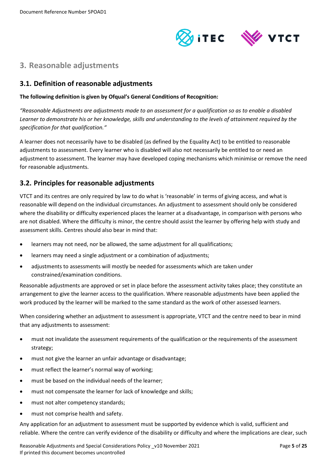

# <span id="page-4-0"></span>**3. Reasonable adjustments**

## <span id="page-4-1"></span>**3.1. Definition of reasonable adjustments**

#### **The following definition is given by Ofqual's General Conditions of Recognition:**

*"Reasonable Adjustments are adjustments made to an assessment for a qualification so as to enable a disabled Learner to demonstrate his or her knowledge, skills and understanding to the levels of attainment required by the specification for that qualification."*

A learner does not necessarily have to be disabled (as defined by the Equality Act) to be entitled to reasonable adjustments to assessment. Every learner who is disabled will also not necessarily be entitled to or need an adjustment to assessment. The learner may have developed coping mechanisms which minimise or remove the need for reasonable adjustments.

## <span id="page-4-2"></span>**3.2. Principles for reasonable adjustments**

VTCT and its centres are only required by law to do what is 'reasonable' in terms of giving access, and what is reasonable will depend on the individual circumstances. An adjustment to assessment should only be considered where the disability or difficulty experienced places the learner at a disadvantage, in comparison with persons who are not disabled. Where the difficulty is minor, the centre should assist the learner by offering help with study and assessment skills. Centres should also bear in mind that:

- learners may not need, nor be allowed, the same adjustment for all qualifications;
- learners may need a single adjustment or a combination of adjustments;
- adjustments to assessments will mostly be needed for assessments which are taken under constrained/examination conditions.

Reasonable adjustments are approved or set in place before the assessment activity takes place; they constitute an arrangement to give the learner access to the qualification. Where reasonable adjustments have been applied the work produced by the learner will be marked to the same standard as the work of other assessed learners.

When considering whether an adjustment to assessment is appropriate, VTCT and the centre need to bear in mind that any adjustments to assessment:

- must not invalidate the assessment requirements of the qualification or the requirements of the assessment strategy;
- must not give the learner an unfair advantage or disadvantage;
- must reflect the learner's normal way of working;
- must be based on the individual needs of the learner;
- must not compensate the learner for lack of knowledge and skills;
- must not alter competency standards;
- must not comprise health and safety.

Any application for an adjustment to assessment must be supported by evidence which is valid, sufficient and reliable. Where the centre can verify evidence of the disability or difficulty and where the implications are clear, such

Reasonable Adjustments and Special Considerations Policy \_v10 November 2021 Page **5** of **25** If printed this document becomes uncontrolled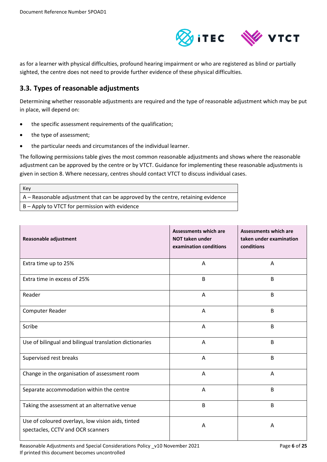

as for a learner with physical difficulties, profound hearing impairment or who are registered as blind or partially sighted, the centre does not need to provide further evidence of these physical difficulties.

## <span id="page-5-0"></span>**3.3. Types of reasonable adjustments**

Determining whether reasonable adjustments are required and the type of reasonable adjustment which may be put in place, will depend on:

- the specific assessment requirements of the qualification;
- the type of assessment;
- the particular needs and circumstances of the individual learner.

The following permissions table gives the most common reasonable adjustments and shows where the reasonable adjustment can be approved by the centre or by VTCT. Guidance for implementing these reasonable adjustments is given in section 8. Where necessary, centres should contact VTCT to discuss individual cases.

Key A – Reasonable adjustment that can be approved by the centre, retaining evidence

B – Apply to VTCT for permission with evidence

| Reasonable adjustment                                                                  | <b>Assessments which are</b><br><b>NOT taken under</b><br>examination conditions | <b>Assessments which are</b><br>taken under examination<br>conditions |
|----------------------------------------------------------------------------------------|----------------------------------------------------------------------------------|-----------------------------------------------------------------------|
| Extra time up to 25%                                                                   | Α                                                                                | A                                                                     |
| Extra time in excess of 25%                                                            | B                                                                                | B                                                                     |
| Reader                                                                                 | Α                                                                                | B                                                                     |
| Computer Reader                                                                        | Α                                                                                | B                                                                     |
| Scribe                                                                                 | A                                                                                | B                                                                     |
| Use of bilingual and bilingual translation dictionaries                                | Α                                                                                | B                                                                     |
| Supervised rest breaks                                                                 | Α                                                                                | B                                                                     |
| Change in the organisation of assessment room                                          | Α                                                                                | Α                                                                     |
| Separate accommodation within the centre                                               | Α                                                                                | B                                                                     |
| Taking the assessment at an alternative venue                                          | B                                                                                | B                                                                     |
| Use of coloured overlays, low vision aids, tinted<br>spectacles, CCTV and OCR scanners | A                                                                                | A                                                                     |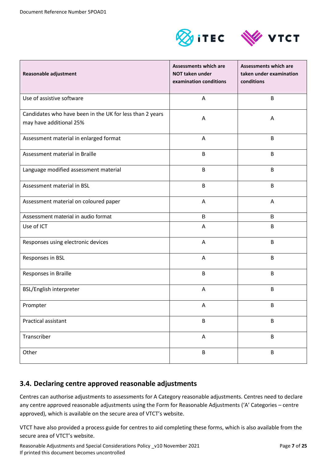



| Reasonable adjustment                                                               | <b>Assessments which are</b><br><b>NOT taken under</b><br>examination conditions | Assessments which are<br>taken under examination<br>conditions |
|-------------------------------------------------------------------------------------|----------------------------------------------------------------------------------|----------------------------------------------------------------|
| Use of assistive software                                                           | Α                                                                                | B                                                              |
| Candidates who have been in the UK for less than 2 years<br>may have additional 25% | Α                                                                                | A                                                              |
| Assessment material in enlarged format                                              | A                                                                                | B                                                              |
| Assessment material in Braille                                                      | B                                                                                | B                                                              |
| Language modified assessment material                                               | B                                                                                | B                                                              |
| Assessment material in BSL                                                          | B                                                                                | B                                                              |
| Assessment material on coloured paper                                               | Α                                                                                | A                                                              |
| Assessment material in audio format                                                 | B                                                                                | B                                                              |
| Use of ICT                                                                          | Α                                                                                | B                                                              |
| Responses using electronic devices                                                  | Α                                                                                | B                                                              |
| Responses in BSL                                                                    | A                                                                                | B                                                              |
| Responses in Braille                                                                | B                                                                                | B                                                              |
| BSL/English interpreter                                                             | Α                                                                                | B                                                              |
| Prompter                                                                            | Α                                                                                | B                                                              |
| Practical assistant                                                                 | B                                                                                | B                                                              |
| Transcriber                                                                         | A                                                                                | B                                                              |
| Other                                                                               | B                                                                                | B                                                              |

## <span id="page-6-0"></span>**3.4. Declaring centre approved reasonable adjustments**

Centres can authorise adjustments to assessments for A Category reasonable adjustments. Centres need to declare any centre approved reasonable adjustments using the Form for Reasonable Adjustments ('A' Categories – centre approved), which is available on the secure area of VTCT's website.

VTCT have also provided a process guide for centres to aid completing these forms, which is also available from the secure area of VTCT's website.

Reasonable Adjustments and Special Considerations Policy \_v10 November 2021 Page 7 of 25 If printed this document becomes uncontrolled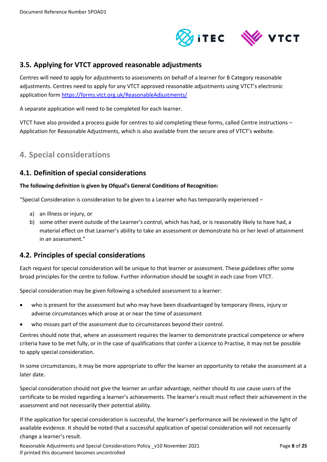

## <span id="page-7-0"></span>**3.5. Applying for VTCT approved reasonable adjustments**

Centres will need to apply for adjustments to assessments on behalf of a learner for B Category reasonable adjustments. Centres need to apply for any VTCT approved reasonable adjustments using VTCT's electronic application form<https://forms.vtct.org.uk/ReasonableAdjustments/>

A separate application will need to be completed for each learner.

VTCT have also provided a process guide for centres to aid completing these forms, called Centre instructions – Application for Reasonable Adjustments, which is also available from the secure area of VTCT's website.

# <span id="page-7-1"></span>**4. Special considerations**

#### <span id="page-7-2"></span>**4.1. Definition of special considerations**

#### **The following definition is given by Ofqual's General Conditions of Recognition:**

"Special Consideration is consideration to be given to a Learner who has temporarily experienced  $-$ 

- a) an illness or injury, or
- b) some other event outside of the Learner's control, which has had, or is reasonably likely to have had, a material effect on that Learner's ability to take an assessment or demonstrate his or her level of attainment in an assessment."

## <span id="page-7-3"></span>**4.2. Principles of special considerations**

Each request for special consideration will be unique to that learner or assessment. These guidelines offer some broad principles for the centre to follow. Further information should be sought in each case from VTCT.

Special consideration may be given following a scheduled assessment to a learner:

- who is present for the assessment but who may have been disadvantaged by temporary illness, injury or adverse circumstances which arose at or near the time of assessment
- who misses part of the assessment due to circumstances beyond their control.

Centres should note that, where an assessment requires the learner to demonstrate practical competence or where criteria have to be met fully, or in the case of qualifications that confer a Licence to Practise, it may not be possible to apply special consideration.

In some circumstances, it may be more appropriate to offer the learner an opportunity to retake the assessment at a later date.

Special consideration should not give the learner an unfair advantage, neither should its use cause users of the certificate to be misled regarding a learner's achievements. The learner's result must reflect their achievement in the assessment and not necessarily their potential ability.

If the application for special consideration is successful, the learner's performance will be reviewed in the light of available evidence. It should be noted that a successful application of special consideration will not necessarily change a learner's result.

Reasonable Adjustments and Special Considerations Policy \_v10 November 2021 Page **8** of **25** If printed this document becomes uncontrolled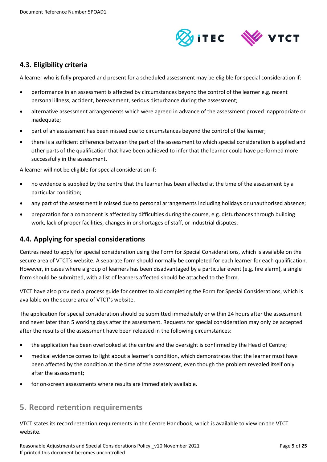

## <span id="page-8-0"></span>**4.3. Eligibility criteria**

A learner who is fully prepared and present for a scheduled assessment may be eligible for special consideration if:

- performance in an assessment is affected by circumstances beyond the control of the learner e.g. recent personal illness, accident, bereavement, serious disturbance during the assessment;
- alternative assessment arrangements which were agreed in advance of the assessment proved inappropriate or inadequate:
- part of an assessment has been missed due to circumstances beyond the control of the learner;
- there is a sufficient difference between the part of the assessment to which special consideration is applied and other parts of the qualification that have been achieved to infer that the learner could have performed more successfully in the assessment.

A learner will not be eligible for special consideration if:

- no evidence is supplied by the centre that the learner has been affected at the time of the assessment by a particular condition;
- any part of the assessment is missed due to personal arrangements including holidays or unauthorised absence;
- preparation for a component is affected by difficulties during the course, e.g. disturbances through building work, lack of proper facilities, changes in or shortages of staff, or industrial disputes.

## <span id="page-8-1"></span>**4.4. Applying for special considerations**

Centres need to apply for special consideration using the Form for Special Considerations, which is available on the secure area of VTCT's website. A separate form should normally be completed for each learner for each qualification. However, in cases where a group of learners has been disadvantaged by a particular event (e.g. fire alarm), a single form should be submitted, with a list of learners affected should be attached to the form.

VTCT have also provided a process guide for centres to aid completing the Form for Special Considerations, which is available on the secure area of VTCT's website.

The application for special consideration should be submitted immediately or within 24 hours after the assessment and never later than 5 working days after the assessment. Requests for special consideration may only be accepted after the results of the assessment have been released in the following circumstances:

- the application has been overlooked at the centre and the oversight is confirmed by the Head of Centre;
- medical evidence comes to light about a learner's condition, which demonstrates that the learner must have been affected by the condition at the time of the assessment, even though the problem revealed itself only after the assessment;
- <span id="page-8-2"></span>for on-screen assessments where results are immediately available.

## **5. Record retention requirements**

VTCT states its record retention requirements in the Centre Handbook, which is available to view on the VTCT website.

Reasonable Adjustments and Special Considerations Policy \_v10 November 2021 Page **9** of **25** If printed this document becomes uncontrolled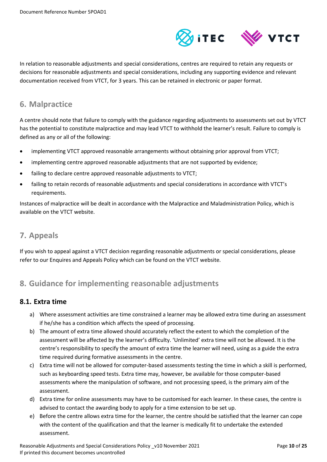

In relation to reasonable adjustments and special considerations, centres are required to retain any requests or decisions for reasonable adjustments and special considerations, including any supporting evidence and relevant documentation received from VTCT, for 3 years. This can be retained in electronic or paper format.

# <span id="page-9-0"></span>**6. Malpractice**

A centre should note that failure to comply with the guidance regarding adjustments to assessments set out by VTCT has the potential to constitute malpractice and may lead VTCT to withhold the learner's result. Failure to comply is defined as any or all of the following:

- implementing VTCT approved reasonable arrangements without obtaining prior approval from VTCT;
- implementing centre approved reasonable adjustments that are not supported by evidence;
- failing to declare centre approved reasonable adjustments to VTCT;
- failing to retain records of reasonable adjustments and special considerations in accordance with VTCT's requirements.

Instances of malpractice will be dealt in accordance with the Malpractice and Maladministration Policy, which is available on the VTCT website.

# <span id="page-9-1"></span>**7. Appeals**

If you wish to appeal against a VTCT decision regarding reasonable adjustments or special considerations, please refer to our Enquires and Appeals Policy which can be found on the VTCT website.

# <span id="page-9-2"></span>**8. Guidance for implementing reasonable adjustments**

## <span id="page-9-3"></span>**8.1. Extra time**

- a) Where assessment activities are time constrained a learner may be allowed extra time during an assessment if he/she has a condition which affects the speed of processing.
- b) The amount of extra time allowed should accurately reflect the extent to which the completion of the assessment will be affected by the learner's difficulty. 'Unlimited' extra time will not be allowed. It is the centre's responsibility to specify the amount of extra time the learner will need, using as a guide the extra time required during formative assessments in the centre.
- c) Extra time will not be allowed for computer-based assessments testing the time in which a skill is performed, such as keyboarding speed tests. Extra time may, however, be available for those computer-based assessments where the manipulation of software, and not processing speed, is the primary aim of the assessment.
- d) Extra time for online assessments may have to be customised for each learner. In these cases, the centre is advised to contact the awarding body to apply for a time extension to be set up.
- e) Before the centre allows extra time for the learner, the centre should be satisfied that the learner can cope with the content of the qualification and that the learner is medically fit to undertake the extended assessment.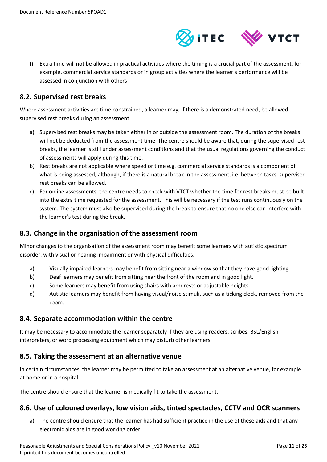

f) Extra time will not be allowed in practical activities where the timing is a crucial part of the assessment, for example, commercial service standards or in group activities where the learner's performance will be assessed in conjunction with others

## <span id="page-10-0"></span>**8.2. Supervised rest breaks**

Where assessment activities are time constrained, a learner may, if there is a demonstrated need, be allowed supervised rest breaks during an assessment.

- a) Supervised rest breaks may be taken either in or outside the assessment room. The duration of the breaks will not be deducted from the assessment time. The centre should be aware that, during the supervised rest breaks, the learner is still under assessment conditions and that the usual regulations governing the conduct of assessments will apply during this time.
- b) Rest breaks are not applicable where speed or time e.g. commercial service standards is a component of what is being assessed, although, if there is a natural break in the assessment, i.e. between tasks, supervised rest breaks can be allowed.
- c) For online assessments, the centre needs to check with VTCT whether the time for rest breaks must be built into the extra time requested for the assessment. This will be necessary if the test runs continuously on the system. The system must also be supervised during the break to ensure that no one else can interfere with the learner's test during the break.

#### <span id="page-10-1"></span>**8.3. Change in the organisation of the assessment room**

Minor changes to the organisation of the assessment room may benefit some learners with autistic spectrum disorder, with visual or hearing impairment or with physical difficulties.

- a) Visually impaired learners may benefit from sitting near a window so that they have good lighting.
- b) Deaf learners may benefit from sitting near the front of the room and in good light.
- c) Some learners may benefit from using chairs with arm rests or adjustable heights.
- d) Autistic learners may benefit from having visual/noise stimuli, such as a ticking clock, removed from the room.

#### <span id="page-10-2"></span>**8.4. Separate accommodation within the centre**

It may be necessary to accommodate the learner separately if they are using readers, scribes, BSL/English interpreters, or word processing equipment which may disturb other learners.

#### <span id="page-10-3"></span>**8.5. Taking the assessment at an alternative venue**

In certain circumstances, the learner may be permitted to take an assessment at an alternative venue, for example at home or in a hospital.

The centre should ensure that the learner is medically fit to take the assessment.

#### <span id="page-10-4"></span>**8.6. Use of coloured overlays, low vision aids, tinted spectacles, CCTV and OCR scanners**

a) The centre should ensure that the learner has had sufficient practice in the use of these aids and that any electronic aids are in good working order.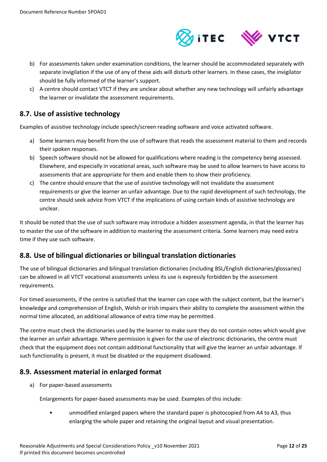

- b) For assessments taken under examination conditions, the learner should be accommodated separately with separate invigilation if the use of any of these aids will disturb other learners. In these cases, the invigilator should be fully informed of the learner's support.
- c) A centre should contact VTCT if they are unclear about whether any new technology will unfairly advantage the learner or invalidate the assessment requirements.

## <span id="page-11-0"></span>**8.7. Use of assistive technology**

Examples of assistive technology include speech/screen reading software and voice activated software.

- a) Some learners may benefit from the use of software that reads the assessment material to them and records their spoken responses.
- b) Speech software should not be allowed for qualifications where reading is the competency being assessed. Elsewhere, and especially in vocational areas, such software may be used to allow learners to have access to assessments that are appropriate for them and enable them to show their proficiency.
- c) The centre should ensure that the use of assistive technology will not invalidate the assessment requirements or give the learner an unfair advantage. Due to the rapid development of such technology, the centre should seek advice from VTCT if the implications of using certain kinds of assistive technology are unclear.

It should be noted that the use of such software may introduce a hidden assessment agenda, in that the learner has to master the use of the software in addition to mastering the assessment criteria. Some learners may need extra time if they use such software.

## <span id="page-11-1"></span>**8.8. Use of bilingual dictionaries or bilingual translation dictionaries**

The use of bilingual dictionaries and bilingual translation dictionaries (including BSL/English dictionaries/glossaries) can be allowed in all VTCT vocational assessments unless its use is expressly forbidden by the assessment requirements.

For timed assessments, if the centre is satisfied that the learner can cope with the subject content, but the learner's knowledge and comprehension of English, Welsh or Irish impairs their ability to complete the assessment within the normal time allocated, an additional allowance of extra time may be permitted.

The centre must check the dictionaries used by the learner to make sure they do not contain notes which would give the learner an unfair advantage. Where permission is given for the use of electronic dictionaries, the centre must check that the equipment does not contain additional functionality that will give the learner an unfair advantage. If such functionality is present, it must be disabled or the equipment disallowed.

#### <span id="page-11-2"></span>**8.9. Assessment material in enlarged format**

a) For paper-based assessments

Enlargements for paper-based assessments may be used. Examples of this include:

• unmodified enlarged papers where the standard paper is photocopied from A4 to A3, thus enlarging the whole paper and retaining the original layout and visual presentation.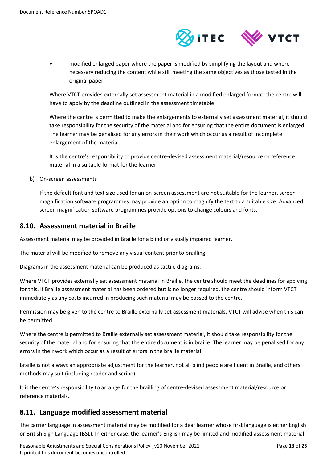

• modified enlarged paper where the paper is modified by simplifying the layout and where necessary reducing the content while still meeting the same objectives as those tested in the original paper.

Where VTCT provides externally set assessment material in a modified enlarged format, the centre will have to apply by the deadline outlined in the assessment timetable.

Where the centre is permitted to make the enlargements to externally set assessment material, it should take responsibility for the security of the material and for ensuring that the entire document is enlarged. The learner may be penalised for any errors in their work which occur as a result of incomplete enlargement of the material.

It is the centre's responsibility to provide centre-devised assessment material/resource or reference material in a suitable format for the learner.

b) On-screen assessments

If the default font and text size used for an on-screen assessment are not suitable for the learner, screen magnification software programmes may provide an option to magnify the text to a suitable size. Advanced screen magnification software programmes provide options to change colours and fonts.

#### <span id="page-12-0"></span>**8.10. Assessment material in Braille**

Assessment material may be provided in Braille for a blind or visually impaired learner.

The material will be modified to remove any visual content prior to brailling.

Diagrams in the assessment material can be produced as tactile diagrams.

Where VTCT provides externally set assessment material in Braille, the centre should meet the deadlines for applying for this. If Braille assessment material has been ordered but is no longer required, the centre should inform VTCT immediately as any costs incurred in producing such material may be passed to the centre.

Permission may be given to the centre to Braille externally set assessment materials. VTCT will advise when this can be permitted.

Where the centre is permitted to Braille externally set assessment material, it should take responsibility for the security of the material and for ensuring that the entire document is in braille. The learner may be penalised for any errors in their work which occur as a result of errors in the braille material.

Braille is not always an appropriate adjustment for the learner, not all blind people are fluent in Braille, and others methods may suit (including reader and scribe).

It is the centre's responsibility to arrange for the brailling of centre-devised assessment material/resource or reference materials.

#### <span id="page-12-1"></span>**8.11. Language modified assessment material**

The carrier language in assessment material may be modified for a deaf learner whose first language is either English or British Sign Language (BSL). In either case, the learner's English may be limited and modified assessment material

Reasonable Adjustments and Special Considerations Policy \_v10 November 2021 Page **13** of **25** If printed this document becomes uncontrolled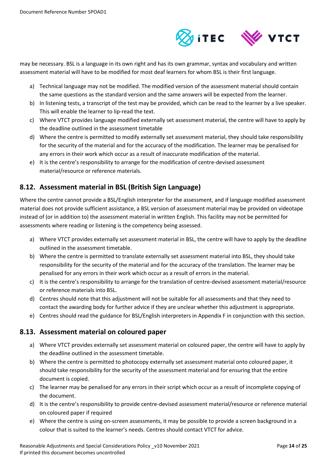

may be necessary. BSL is a language in its own right and has its own grammar, syntax and vocabulary and written assessment material will have to be modified for most deaf learners for whom BSL is their first language.

- a) Technical language may not be modified. The modified version of the assessment material should contain the same questions as the standard version and the same answers will be expected from the learner.
- b) In listening tests, a transcript of the test may be provided, which can be read to the learner by a live speaker. This will enable the learner to lip-read the text.
- c) Where VTCT provides language modified externally set assessment material, the centre will have to apply by the deadline outlined in the assessment timetable
- d) Where the centre is permitted to modify externally set assessment material, they should take responsibility for the security of the material and for the accuracy of the modification. The learner may be penalised for any errors in their work which occur as a result of inaccurate modification of the material.
- e) It is the centre's responsibility to arrange for the modification of centre-devised assessment material/resource or reference materials.

## <span id="page-13-0"></span>**8.12. Assessment material in BSL (British Sign Language)**

Where the centre cannot provide a BSL/English interpreter for the assessment, and if language modified assessment material does not provide sufficient assistance, a BSL version of assessment material may be provided on videotape instead of (or in addition to) the assessment material in written English. This facility may not be permitted for assessments where reading or listening is the competency being assessed.

- a) Where VTCT provides externally set assessment material in BSL, the centre will have to apply by the deadline outlined in the assessment timetable.
- b) Where the centre is permitted to translate externally set assessment material into BSL, they should take responsibility for the security of the material and for the accuracy of the translation. The learner may be penalised for any errors in their work which occur as a result of errors in the material.
- c) It is the centre's responsibility to arrange for the translation of centre-devised assessment material/resource or reference materials into BSL.
- d) Centres should note that this adjustment will not be suitable for all assessments and that they need to contact the awarding body for further advice if they are unclear whether this adjustment is appropriate.
- e) Centres should read the guidance for BSL/English interpreters in Appendix F in conjunction with this section.

## <span id="page-13-1"></span>**8.13. Assessment material on coloured paper**

- a) Where VTCT provides externally set assessment material on coloured paper, the centre will have to apply by the deadline outlined in the assessment timetable.
- b) Where the centre is permitted to photocopy externally set assessment material onto coloured paper, it should take responsibility for the security of the assessment material and for ensuring that the entire document is copied.
- c) The learner may be penalised for any errors in their script which occur as a result of incomplete copying of the document.
- d) It is the centre's responsibility to provide centre-devised assessment material/resource or reference material on coloured paper if required
- e) Where the centre is using on-screen assessments, it may be possible to provide a screen background in a colour that is suited to the learner's needs. Centres should contact VTCT for advice.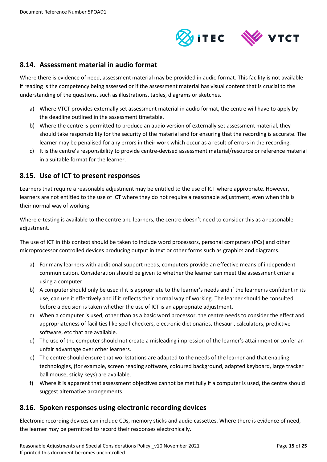

#### <span id="page-14-0"></span>**8.14. Assessment material in audio format**

Where there is evidence of need, assessment material may be provided in audio format. This facility is not available if reading is the competency being assessed or if the assessment material has visual content that is crucial to the understanding of the questions, such as illustrations, tables, diagrams or sketches.

- a) Where VTCT provides externally set assessment material in audio format, the centre will have to apply by the deadline outlined in the assessment timetable.
- b) Where the centre is permitted to produce an audio version of externally set assessment material, they should take responsibility for the security of the material and for ensuring that the recording is accurate. The learner may be penalised for any errors in their work which occur as a result of errors in the recording.
- c) It is the centre's responsibility to provide centre-devised assessment material/resource or reference material in a suitable format for the learner.

#### <span id="page-14-1"></span>**8.15. Use of ICT to present responses**

Learners that require a reasonable adjustment may be entitled to the use of ICT where appropriate. However, learners are not entitled to the use of ICT where they do not require a reasonable adjustment, even when this is their normal way of working.

Where e-testing is available to the centre and learners, the centre doesn't need to consider this as a reasonable adjustment.

The use of ICT in this context should be taken to include word processors, personal computers (PCs) and other microprocessor controlled devices producing output in text or other forms such as graphics and diagrams.

- a) For many learners with additional support needs, computers provide an effective means of independent communication. Consideration should be given to whether the learner can meet the assessment criteria using a computer.
- b) A computer should only be used if it is appropriate to the learner's needs and if the learner is confident in its use, can use it effectively and if it reflects their normal way of working. The learner should be consulted before a decision is taken whether the use of ICT is an appropriate adjustment.
- c) When a computer is used, other than as a basic word processor, the centre needs to consider the effect and appropriateness of facilities like spell-checkers, electronic dictionaries, thesauri, calculators, predictive software, etc that are available.
- d) The use of the computer should not create a misleading impression of the learner's attainment or confer an unfair advantage over other learners.
- e) The centre should ensure that workstations are adapted to the needs of the learner and that enabling technologies, (for example, screen reading software, coloured background, adapted keyboard, large tracker ball mouse, sticky keys) are available.
- f) Where it is apparent that assessment objectives cannot be met fully if a computer is used, the centre should suggest alternative arrangements.

#### <span id="page-14-2"></span>**8.16. Spoken responses using electronic recording devices**

Electronic recording devices can include CDs, memory sticks and audio cassettes. Where there is evidence of need, the learner may be permitted to record their responses electronically.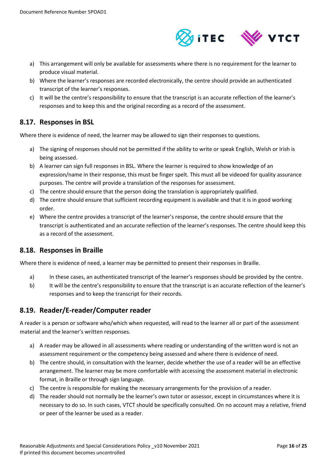

- a) This arrangement will only be available for assessments where there is no requirement for the learner to produce visual material.
- b) Where the learner's responses are recorded electronically, the centre should provide an authenticated transcript of the learner's responses.
- c) It will be the centre's responsibility to ensure that the transcript is an accurate reflection of the learner's responses and to keep this and the original recording as a record of the assessment.

## <span id="page-15-0"></span>**8.17. Responses in BSL**

Where there is evidence of need, the learner may be allowed to sign their responses to questions.

- a) The signing of responses should not be permitted if the ability to write or speak English, Welsh or Irish is being assessed.
- b) A learner can sign full responses in BSL. Where the learner is required to show knowledge of an expression/name in their response, this must be finger spelt. This must all be videoed for quality assurance purposes. The centre will provide a translation of the responses for assessment.
- c) The centre should ensure that the person doing the translation is appropriately qualified.
- d) The centre should ensure that sufficient recording equipment is available and that it is in good working order.
- e) Where the centre provides a transcript of the learner's response, the centre should ensure that the transcript is authenticated and an accurate reflection of the learner's responses. The centre should keep this as a record of the assessment.

#### <span id="page-15-1"></span>**8.18. Responses in Braille**

Where there is evidence of need, a learner may be permitted to present their responses in Braille.

- a) In these cases, an authenticated transcript of the learner's responses should be provided by the centre.
- b) It will be the centre's responsibility to ensure that the transcript is an accurate reflection of the learner's responses and to keep the transcript for their records.

## <span id="page-15-2"></span>**8.19. Reader/E-reader/Computer reader**

A reader is a person or software who/which when requested, will read to the learner all or part of the assessment material and the learner's written responses.

- a) A reader may be allowed in all assessments where reading or understanding of the written word is not an assessment requirement or the competency being assessed and where there is evidence of need.
- b) The centre should, in consultation with the learner, decide whether the use of a reader will be an effective arrangement. The learner may be more comfortable with accessing the assessment material in electronic format, in Braille or through sign language.
- c) The centre is responsible for making the necessary arrangements for the provision of a reader.
- d) The reader should not normally be the learner's own tutor or assessor, except in circumstances where it is necessary to do so. In such cases, VTCT should be specifically consulted. On no account may a relative, friend or peer of the learner be used as a reader.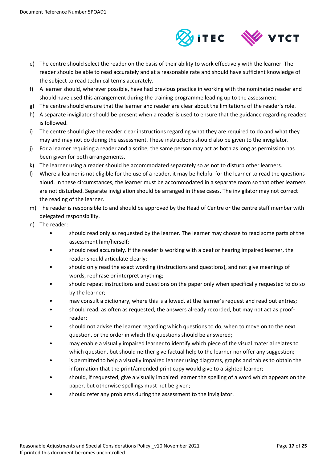

- e) The centre should select the reader on the basis of their ability to work effectively with the learner. The reader should be able to read accurately and at a reasonable rate and should have sufficient knowledge of the subject to read technical terms accurately.
- f) A learner should, wherever possible, have had previous practice in working with the nominated reader and should have used this arrangement during the training programme leading up to the assessment.
- g) The centre should ensure that the learner and reader are clear about the limitations of the reader's role.
- h) A separate invigilator should be present when a reader is used to ensure that the guidance regarding readers is followed.
- i) The centre should give the reader clear instructions regarding what they are required to do and what they may and may not do during the assessment. These instructions should also be given to the invigilator.
- j) For a learner requiring a reader and a scribe, the same person may act as both as long as permission has been given for both arrangements.
- k) The learner using a reader should be accommodated separately so as not to disturb other learners.
- l) Where a learner is not eligible for the use of a reader, it may be helpful for the learner to read the questions aloud. In these circumstances, the learner must be accommodated in a separate room so that other learners are not disturbed. Separate invigilation should be arranged in these cases. The invigilator may not correct the reading of the learner.
- m) The reader is responsible to and should be approved by the Head of Centre or the centre staff member with delegated responsibility.
- n) The reader:
	- should read only as requested by the learner. The learner may choose to read some parts of the assessment him/herself;
	- should read accurately. If the reader is working with a deaf or hearing impaired learner, the reader should articulate clearly;
	- should only read the exact wording (instructions and questions), and not give meanings of words, rephrase or interpret anything;
	- should repeat instructions and questions on the paper only when specifically requested to do so by the learner;
	- may consult a dictionary, where this is allowed, at the learner's request and read out entries;
	- should read, as often as requested, the answers already recorded, but may not act as proofreader;
	- should not advise the learner regarding which questions to do, when to move on to the next question, or the order in which the questions should be answered;
	- may enable a visually impaired learner to identify which piece of the visual material relates to which question, but should neither give factual help to the learner nor offer any suggestion;
	- is permitted to help a visually impaired learner using diagrams, graphs and tables to obtain the information that the print/amended print copy would give to a sighted learner;
	- should, if requested, give a visually impaired learner the spelling of a word which appears on the paper, but otherwise spellings must not be given;
	- should refer any problems during the assessment to the invigilator.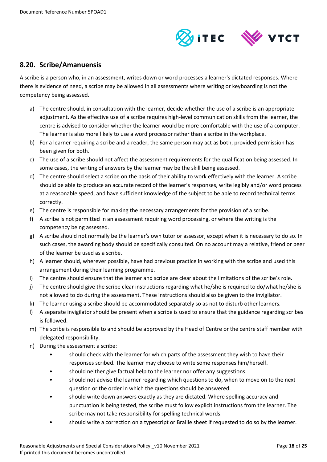

#### <span id="page-17-0"></span>**8.20. Scribe/Amanuensis**

A scribe is a person who, in an assessment, writes down or word processes a learner's dictated responses. Where there is evidence of need, a scribe may be allowed in all assessments where writing or keyboarding is not the competency being assessed.

- a) The centre should, in consultation with the learner, decide whether the use of a scribe is an appropriate adjustment. As the effective use of a scribe requires high-level communication skills from the learner, the centre is advised to consider whether the learner would be more comfortable with the use of a computer. The learner is also more likely to use a word processor rather than a scribe in the workplace.
- b) For a learner requiring a scribe and a reader, the same person may act as both, provided permission has been given for both.
- c) The use of a scribe should not affect the assessment requirements for the qualification being assessed. In some cases, the writing of answers by the learner may be the skill being assessed.
- d) The centre should select a scribe on the basis of their ability to work effectively with the learner. A scribe should be able to produce an accurate record of the learner's responses, write legibly and/or word process at a reasonable speed, and have sufficient knowledge of the subject to be able to record technical terms correctly.
- e) The centre is responsible for making the necessary arrangements for the provision of a scribe.
- f) A scribe is not permitted in an assessment requiring word processing, or where the writing is the competency being assessed.
- g) A scribe should not normally be the learner's own tutor or assessor, except when it is necessary to do so. In such cases, the awarding body should be specifically consulted. On no account may a relative, friend or peer of the learner be used as a scribe.
- h) A learner should, wherever possible, have had previous practice in working with the scribe and used this arrangement during their learning programme.
- i) The centre should ensure that the learner and scribe are clear about the limitations of the scribe's role.
- j) The centre should give the scribe clear instructions regarding what he/she is required to do/what he/she is not allowed to do during the assessment. These instructions should also be given to the invigilator.
- k) The learner using a scribe should be accommodated separately so as not to disturb other learners.
- l) A separate invigilator should be present when a scribe is used to ensure that the guidance regarding scribes is followed.
- m) The scribe is responsible to and should be approved by the Head of Centre or the centre staff member with delegated responsibility.
- n) During the assessment a scribe:
	- should check with the learner for which parts of the assessment they wish to have their responses scribed. The learner may choose to write some responses him/herself.
	- should neither give factual help to the learner nor offer any suggestions.
	- should not advise the learner regarding which questions to do, when to move on to the next question or the order in which the questions should be answered.
	- should write down answers exactly as they are dictated. Where spelling accuracy and punctuation is being tested, the scribe must follow explicit instructions from the learner. The scribe may not take responsibility for spelling technical words.
	- should write a correction on a typescript or Braille sheet if requested to do so by the learner.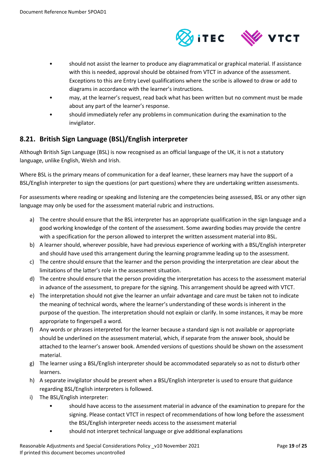

- should not assist the learner to produce any diagrammatical or graphical material. If assistance with this is needed, approval should be obtained from VTCT in advance of the assessment. Exceptions to this are Entry Level qualifications where the scribe is allowed to draw or add to diagrams in accordance with the learner's instructions.
- may, at the learner's request, read back what has been written but no comment must be made about any part of the learner's response.
- should immediately refer any problems in communication during the examination to the invigilator.

## <span id="page-18-0"></span>**8.21. British Sign Language (BSL)/English interpreter**

Although British Sign Language (BSL) is now recognised as an official language of the UK, it is not a statutory language, unlike English, Welsh and Irish.

Where BSL is the primary means of communication for a deaf learner, these learners may have the support of a BSL/English interpreter to sign the questions (or part questions) where they are undertaking written assessments.

For assessments where reading or speaking and listening are the competencies being assessed, BSL or any other sign language may only be used for the assessment material rubric and instructions.

- a) The centre should ensure that the BSL interpreter has an appropriate qualification in the sign language and a good working knowledge of the content of the assessment. Some awarding bodies may provide the centre with a specification for the person allowed to interpret the written assessment material into BSL.
- b) A learner should, wherever possible, have had previous experience of working with a BSL/English interpreter and should have used this arrangement during the learning programme leading up to the assessment.
- c) The centre should ensure that the learner and the person providing the interpretation are clear about the limitations of the latter's role in the assessment situation.
- d) The centre should ensure that the person providing the interpretation has access to the assessment material in advance of the assessment, to prepare for the signing. This arrangement should be agreed with VTCT.
- e) The interpretation should not give the learner an unfair advantage and care must be taken not to indicate the meaning of technical words, where the learner's understanding of these words is inherent in the purpose of the question. The interpretation should not explain or clarify. In some instances, it may be more appropriate to fingerspell a word.
- f) Any words or phrases interpreted for the learner because a standard sign is not available or appropriate should be underlined on the assessment material, which, if separate from the answer book, should be attached to the learner's answer book. Amended versions of questions should be shown on the assessment material.
- g) The learner using a BSL/English interpreter should be accommodated separately so as not to disturb other learners.
- h) A separate invigilator should be present when a BSL/English interpreter is used to ensure that guidance regarding BSL/English interpreters is followed.
- i) The BSL/English interpreter:
	- should have access to the assessment material in advance of the examination to prepare for the signing. Please contact VTCT in respect of recommendations of how long before the assessment the BSL/English interpreter needs access to the assessment material
	- should not interpret technical language or give additional explanations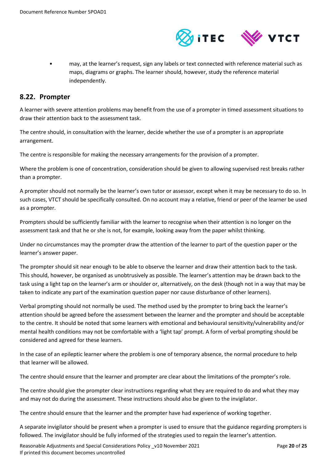

• may, at the learner's request, sign any labels or text connected with reference material such as maps, diagrams or graphs. The learner should, however, study the reference material independently.

#### <span id="page-19-0"></span>**8.22. Prompter**

A learner with severe attention problems may benefit from the use of a prompter in timed assessment situations to draw their attention back to the assessment task.

The centre should, in consultation with the learner, decide whether the use of a prompter is an appropriate arrangement.

The centre is responsible for making the necessary arrangements for the provision of a prompter.

Where the problem is one of concentration, consideration should be given to allowing supervised rest breaks rather than a prompter.

A prompter should not normally be the learner's own tutor or assessor, except when it may be necessary to do so. In such cases, VTCT should be specifically consulted. On no account may a relative, friend or peer of the learner be used as a prompter.

Prompters should be sufficiently familiar with the learner to recognise when their attention is no longer on the assessment task and that he or she is not, for example, looking away from the paper whilst thinking.

Under no circumstances may the prompter draw the attention of the learner to part of the question paper or the learner's answer paper.

The prompter should sit near enough to be able to observe the learner and draw their attention back to the task. This should, however, be organised as unobtrusively as possible. The learner's attention may be drawn back to the task using a light tap on the learner's arm or shoulder or, alternatively, on the desk (though not in a way that may be taken to indicate any part of the examination question paper nor cause disturbance of other learners).

Verbal prompting should not normally be used. The method used by the prompter to bring back the learner's attention should be agreed before the assessment between the learner and the prompter and should be acceptable to the centre. It should be noted that some learners with emotional and behavioural sensitivity/vulnerability and/or mental health conditions may not be comfortable with a 'light tap' prompt. A form of verbal prompting should be considered and agreed for these learners.

In the case of an epileptic learner where the problem is one of temporary absence, the normal procedure to help that learner will be allowed.

The centre should ensure that the learner and prompter are clear about the limitations of the prompter's role.

The centre should give the prompter clear instructions regarding what they are required to do and what they may and may not do during the assessment. These instructions should also be given to the invigilator.

The centre should ensure that the learner and the prompter have had experience of working together.

A separate invigilator should be present when a prompter is used to ensure that the guidance regarding prompters is followed. The invigilator should be fully informed of the strategies used to regain the learner's attention.

Reasonable Adjustments and Special Considerations Policy \_v10 November 2021 Page **20** of **25** If printed this document becomes uncontrolled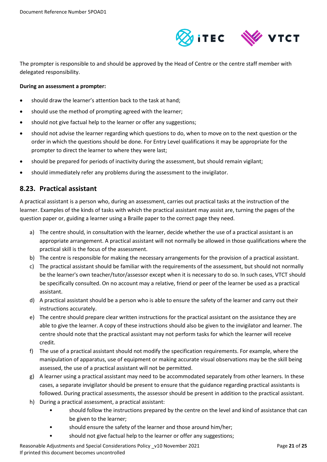

The prompter is responsible to and should be approved by the Head of Centre or the centre staff member with delegated responsibility.

#### **During an assessment a prompter:**

- should draw the learner's attention back to the task at hand;
- should use the method of prompting agreed with the learner;
- should not give factual help to the learner or offer any suggestions;
- should not advise the learner regarding which questions to do, when to move on to the next question or the order in which the questions should be done. For Entry Level qualifications it may be appropriate for the prompter to direct the learner to where they were last;
- should be prepared for periods of inactivity during the assessment, but should remain vigilant;
- should immediately refer any problems during the assessment to the invigilator.

#### <span id="page-20-0"></span>**8.23. Practical assistant**

A practical assistant is a person who, during an assessment, carries out practical tasks at the instruction of the learner. Examples of the kinds of tasks with which the practical assistant may assist are, turning the pages of the question paper or, guiding a learner using a Braille paper to the correct page they need.

- a) The centre should, in consultation with the learner, decide whether the use of a practical assistant is an appropriate arrangement. A practical assistant will not normally be allowed in those qualifications where the practical skill is the focus of the assessment.
- b) The centre is responsible for making the necessary arrangements for the provision of a practical assistant.
- c) The practical assistant should be familiar with the requirements of the assessment, but should not normally be the learner's own teacher/tutor/assessor except when it is necessary to do so. In such cases, VTCT should be specifically consulted. On no account may a relative, friend or peer of the learner be used as a practical assistant.
- d) A practical assistant should be a person who is able to ensure the safety of the learner and carry out their instructions accurately.
- e) The centre should prepare clear written instructions for the practical assistant on the assistance they are able to give the learner. A copy of these instructions should also be given to the invigilator and learner. The centre should note that the practical assistant may not perform tasks for which the learner will receive credit.
- f) The use of a practical assistant should not modify the specification requirements. For example, where the manipulation of apparatus, use of equipment or making accurate visual observations may be the skill being assessed, the use of a practical assistant will not be permitted.
- g) A learner using a practical assistant may need to be accommodated separately from other learners. In these cases, a separate invigilator should be present to ensure that the guidance regarding practical assistants is followed. During practical assessments, the assessor should be present in addition to the practical assistant.
- h) During a practical assessment, a practical assistant:
	- should follow the instructions prepared by the centre on the level and kind of assistance that can be given to the learner;
	- should ensure the safety of the learner and those around him/her;
	- should not give factual help to the learner or offer any suggestions;

Reasonable Adjustments and Special Considerations Policy \_v10 November 2021 Page **21** of **25** If printed this document becomes uncontrolled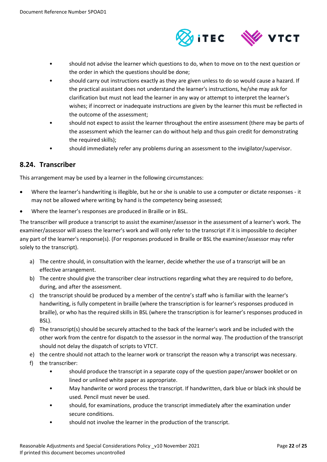

- should not advise the learner which questions to do, when to move on to the next question or the order in which the questions should be done;
- should carry out instructions exactly as they are given unless to do so would cause a hazard. If the practical assistant does not understand the learner's instructions, he/she may ask for clarification but must not lead the learner in any way or attempt to interpret the learner's wishes; if incorrect or inadequate instructions are given by the learner this must be reflected in the outcome of the assessment;
- should not expect to assist the learner throughout the entire assessment (there may be parts of the assessment which the learner can do without help and thus gain credit for demonstrating the required skills);
- should immediately refer any problems during an assessment to the invigilator/supervisor.

## <span id="page-21-0"></span>**8.24. Transcriber**

This arrangement may be used by a learner in the following circumstances:

- Where the learner's handwriting is illegible, but he or she is unable to use a computer or dictate responses it may not be allowed where writing by hand is the competency being assessed;
- Where the learner's responses are produced in Braille or in BSL.

The transcriber will produce a transcript to assist the examiner/assessor in the assessment of a learner's work. The examiner/assessor will assess the learner's work and will only refer to the transcript if it is impossible to decipher any part of the learner's response(s). (For responses produced in Braille or BSL the examiner/assessor may refer solely to the transcript).

- a) The centre should, in consultation with the learner, decide whether the use of a transcript will be an effective arrangement.
- b) The centre should give the transcriber clear instructions regarding what they are required to do before, during, and after the assessment.
- c) the transcript should be produced by a member of the centre's staff who is familiar with the learner's handwriting, is fully competent in braille (where the transcription is for learner's responses produced in braille), or who has the required skills in BSL (where the transcription is for learner's responses produced in BSL).
- d) The transcript(s) should be securely attached to the back of the learner's work and be included with the other work from the centre for dispatch to the assessor in the normal way. The production of the transcript should not delay the dispatch of scripts to VTCT.
- e) the centre should not attach to the learner work or transcript the reason why a transcript was necessary.
- f) the transcriber:
	- should produce the transcript in a separate copy of the question paper/answer booklet or on lined or unlined white paper as appropriate.
	- May handwrite or word process the transcript. If handwritten, dark blue or black ink should be used. Pencil must never be used.
	- should, for examinations, produce the transcript immediately after the examination under secure conditions.
	- should not involve the learner in the production of the transcript.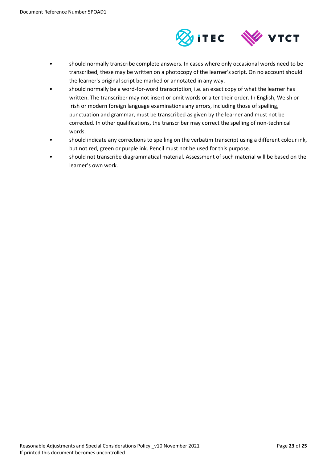

- should normally transcribe complete answers. In cases where only occasional words need to be transcribed, these may be written on a photocopy of the learner's script. On no account should the learner's original script be marked or annotated in any way.
- should normally be a word-for-word transcription, i.e. an exact copy of what the learner has written. The transcriber may not insert or omit words or alter their order. In English, Welsh or Irish or modern foreign language examinations any errors, including those of spelling, punctuation and grammar, must be transcribed as given by the learner and must not be corrected. In other qualifications, the transcriber may correct the spelling of non-technical words.
- should indicate any corrections to spelling on the verbatim transcript using a different colour ink, but not red, green or purple ink. Pencil must not be used for this purpose.
- should not transcribe diagrammatical material. Assessment of such material will be based on the learner's own work.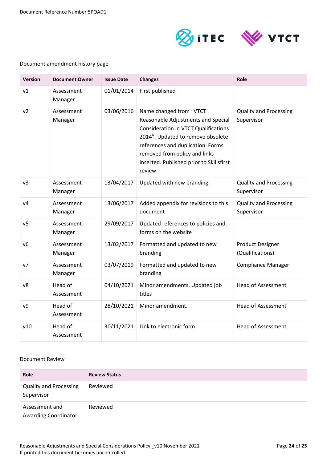Document Reference Number 5POAD1



#### Document amendment history page

| <b>Version</b> | <b>Document Owner</b> | <b>Issue Date</b> | <b>Changes</b>                                                                                                                                                                                                                                                                 | Role                                        |
|----------------|-----------------------|-------------------|--------------------------------------------------------------------------------------------------------------------------------------------------------------------------------------------------------------------------------------------------------------------------------|---------------------------------------------|
| v1             | Assessment<br>Manager | 01/01/2014        | First published                                                                                                                                                                                                                                                                |                                             |
| v <sub>2</sub> | Assessment<br>Manager | 03/06/2016        | Name changed from "VTCT<br>Reasonable Adjustments and Special<br><b>Consideration in VTCT Qualifications</b><br>2014". Updated to remove obsolete<br>references and duplication. Forms<br>removed from policy and links<br>inserted. Published prior to Skillsfirst<br>review. | <b>Quality and Processing</b><br>Supervisor |
| v <sub>3</sub> | Assessment<br>Manager | 13/04/2017        | Updated with new branding                                                                                                                                                                                                                                                      | <b>Quality and Processing</b><br>Supervisor |
| V <sub>4</sub> | Assessment<br>Manager | 13/06/2017        | Added appendix for revisions to this<br>document                                                                                                                                                                                                                               | <b>Quality and Processing</b><br>Supervisor |
| v <sub>5</sub> | Assessment<br>Manager | 29/09/2017        | Updated references to policies and<br>forms on the website                                                                                                                                                                                                                     |                                             |
| V <sub>6</sub> | Assessment<br>Manager | 13/02/2017        | Formatted and updated to new<br>branding                                                                                                                                                                                                                                       | <b>Product Designer</b><br>(Qualifications) |
| v7             | Assessment<br>Manager | 03/07/2019        | Formatted and updated to new<br>branding                                                                                                                                                                                                                                       | <b>Compliance Manager</b>                   |
| v8             | Head of<br>Assessment | 04/10/2021        | Minor amendments. Updated job<br>titles                                                                                                                                                                                                                                        | <b>Head of Assessment</b>                   |
| v9             | Head of<br>Assessment | 28/10/2021        | Minor amendment.                                                                                                                                                                                                                                                               | <b>Head of Assessment</b>                   |
| v10            | Head of<br>Assessment | 30/11/2021        | Link to electronic form                                                                                                                                                                                                                                                        | <b>Head of Assessment</b>                   |

#### Document Review

| Role                                          | <b>Review Status</b> |
|-----------------------------------------------|----------------------|
| <b>Quality and Processing</b><br>Supervisor   | Reviewed             |
| Assessment and<br><b>Awarding Coordinator</b> | Reviewed             |